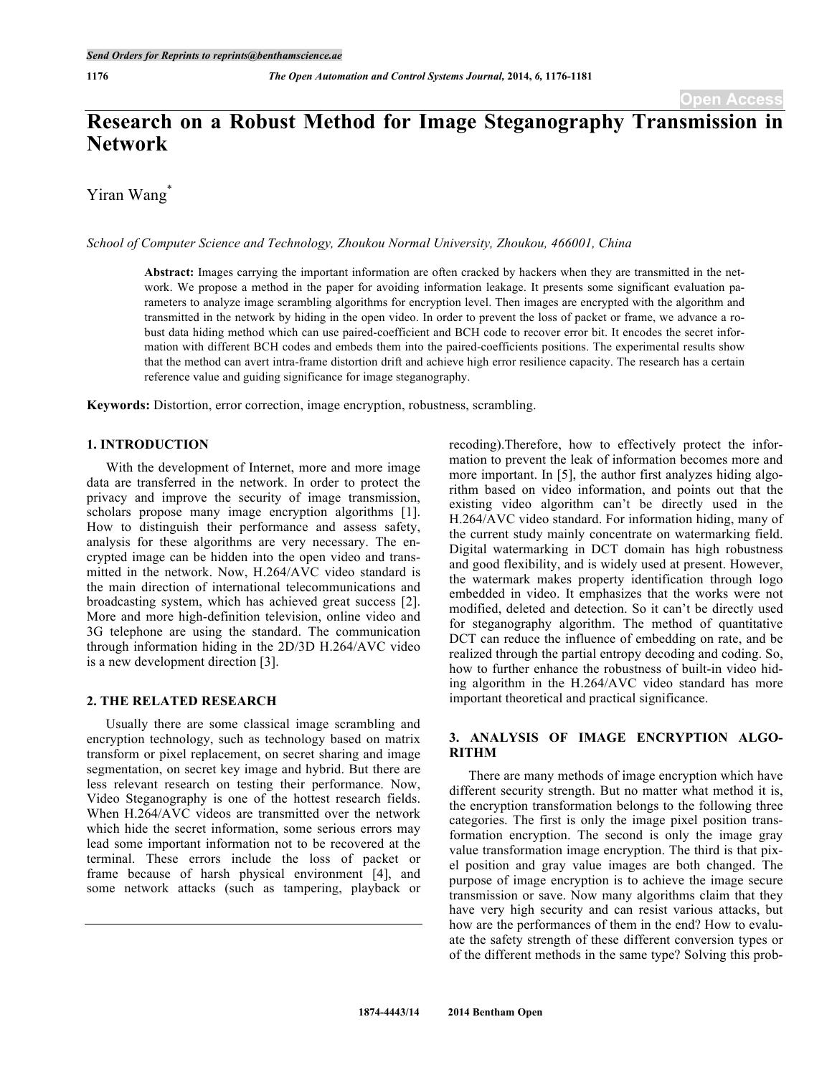# **Research on a Robust Method for Image Steganography Transmission in Network**

Yiran Wang<sup>\*</sup>

*School of Computer Science and Technology, Zhoukou Normal University, Zhoukou, 466001, China*

**Abstract:** Images carrying the important information are often cracked by hackers when they are transmitted in the network. We propose a method in the paper for avoiding information leakage. It presents some significant evaluation parameters to analyze image scrambling algorithms for encryption level. Then images are encrypted with the algorithm and transmitted in the network by hiding in the open video. In order to prevent the loss of packet or frame, we advance a robust data hiding method which can use paired-coefficient and BCH code to recover error bit. It encodes the secret information with different BCH codes and embeds them into the paired-coefficients positions. The experimental results show that the method can avert intra-frame distortion drift and achieve high error resilience capacity. The research has a certain reference value and guiding significance for image steganography.

**Keywords:** Distortion, error correction, image encryption, robustness, scrambling.

### **1. INTRODUCTION**

With the development of Internet, more and more image data are transferred in the network. In order to protect the privacy and improve the security of image transmission, scholars propose many image encryption algorithms [1]. How to distinguish their performance and assess safety, analysis for these algorithms are very necessary. The encrypted image can be hidden into the open video and transmitted in the network. Now, H.264/AVC video standard is the main direction of international telecommunications and broadcasting system, which has achieved great success [2]. More and more high-definition television, online video and 3G telephone are using the standard. The communication through information hiding in the 2D/3D H.264/AVC video is a new development direction [3].

# **2. THE RELATED RESEARCH**

Usually there are some classical image scrambling and encryption technology, such as technology based on matrix transform or pixel replacement, on secret sharing and image segmentation, on secret key image and hybrid. But there are less relevant research on testing their performance. Now, Video Steganography is one of the hottest research fields. When H.264/AVC videos are transmitted over the network which hide the secret information, some serious errors may lead some important information not to be recovered at the terminal. These errors include the loss of packet or frame because of harsh physical environment [4], and some network attacks (such as tampering, playback or

recoding).Therefore, how to effectively protect the information to prevent the leak of information becomes more and more important. In [5], the author first analyzes hiding algorithm based on video information, and points out that the existing video algorithm can't be directly used in the H.264/AVC video standard. For information hiding, many of the current study mainly concentrate on watermarking field. Digital watermarking in DCT domain has high robustness and good flexibility, and is widely used at present. However, the watermark makes property identification through logo embedded in video. It emphasizes that the works were not modified, deleted and detection. So it can't be directly used for steganography algorithm. The method of quantitative DCT can reduce the influence of embedding on rate, and be realized through the partial entropy decoding and coding. So, how to further enhance the robustness of built-in video hiding algorithm in the H.264/AVC video standard has more important theoretical and practical significance.

# **3. ANALYSIS OF IMAGE ENCRYPTION ALGO-RITHM**

There are many methods of image encryption which have different security strength. But no matter what method it is, the encryption transformation belongs to the following three categories. The first is only the image pixel position transformation encryption. The second is only the image gray value transformation image encryption. The third is that pixel position and gray value images are both changed. The purpose of image encryption is to achieve the image secure transmission or save. Now many algorithms claim that they have very high security and can resist various attacks, but how are the performances of them in the end? How to evaluate the safety strength of these different conversion types or of the different methods in the same type? Solving this prob-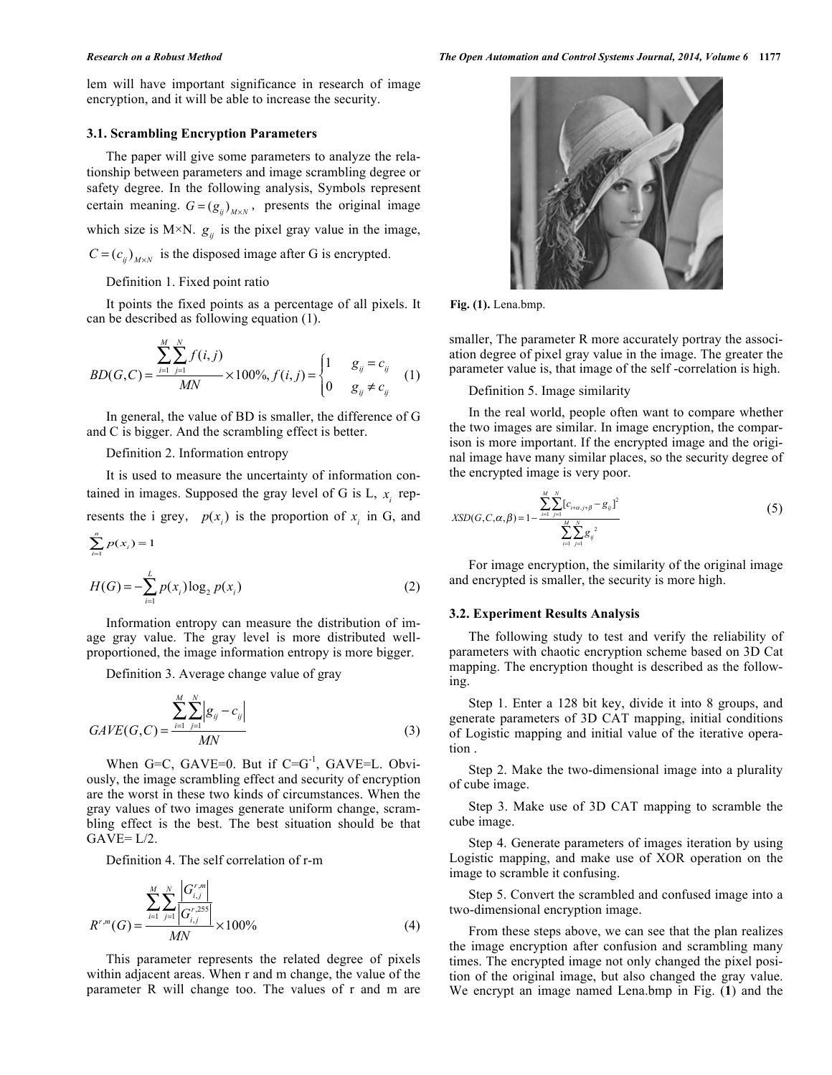lem will have important significance in research of image encryption, and it will be able to increase the security.

# **3.1. Scrambling Encryption Parameters**

The paper will give some parameters to analyze the relationship between parameters and image scrambling degree or safety degree. In the following analysis, Symbols represent certain meaning.  $G = (g_{ij})_{M \times N}$ , presents the original image which size is  $M \times N$ .  $g_{ij}$  is the pixel gray value in the image,  $C = (c_{ij})_{M \times N}$  is the disposed image after G is encrypted.

#### Definition 1. Fixed point ratio

It points the fixed points as a percentage of all pixels. It can be described as following equation (1).

$$
BD(G,C) = \frac{\sum_{i=1}^{M} \sum_{j=1}^{N} f(i,j)}{MN} \times 100\%, f(i,j) = \begin{cases} 1 & g_{ij} = c_{ij} \\ 0 & g_{ij} \neq c_{ij} \end{cases}
$$
 (1)

In general, the value of BD is smaller, the difference of G and C is bigger. And the scrambling effect is better.

Definition 2. Information entropy

It is used to measure the uncertainty of information contained in images. Supposed the gray level of G is  $L$ ,  $x_i$  represents the i grey,  $p(x_i)$  is the proportion of  $x_i$  in G, and  $\sum_{i=1}^{n} p(x_i) = 1$ 

$$
H(G) = -\sum_{i=1}^{L} p(x_i) \log_2 p(x_i)
$$
 (2)

Information entropy can measure the distribution of image gray value. The gray level is more distributed wellproportioned, the image information entropy is more bigger.

Definition 3. Average change value of gray

$$
GAVE(G, C) = \frac{\sum_{i=1}^{M} \sum_{j=1}^{N} |g_{ij} - c_{ij}|}{MN}
$$
\n(3)

When G=C, GAVE=0. But if  $C = G^{-1}$ , GAVE=L. Obviously, the image scrambling effect and security of encryption are the worst in these two kinds of circumstances. When the gray values of two images generate uniform change, scrambling effect is the best. The best situation should be that  $GAVE = L/2$ .

Definition 4. The self correlation of r-m

$$
R^{r,m}(G) = \frac{\sum_{i=1}^{M} \sum_{j=1}^{N} \left| G_{i,j}^{r,m} \right|}{MN} \times 100\%
$$
(4)

This parameter represents the related degree of pixels within adjacent areas. When r and m change, the value of the parameter R will change too. The values of r and m are



**Fig. (1).** Lena.bmp.

smaller, The parameter R more accurately portray the association degree of pixel gray value in the image. The greater the parameter value is, that image of the self -correlation is high.

Definition 5. Image similarity

In the real world, people often want to compare whether the two images are similar. In image encryption, the comparison is more important. If the encrypted image and the original image have many similar places, so the security degree of the encrypted image is very poor.

$$
XSD(G, C, \alpha, \beta) = 1 - \frac{\sum_{i=1}^{M} \sum_{j=1}^{N} [c_{i+\alpha, j+\beta} - g_{ij}]^{2}}{\sum_{i=1}^{M} \sum_{j=1}^{N} g_{ij}^{2}}
$$
(5)

For image encryption, the similarity of the original image and encrypted is smaller, the security is more high.

# **3.2. Experiment Results Analysis**

The following study to test and verify the reliability of parameters with chaotic encryption scheme based on 3D Cat mapping. The encryption thought is described as the following.

Step 1. Enter a 128 bit key, divide it into 8 groups, and generate parameters of 3D CAT mapping, initial conditions of Logistic mapping and initial value of the iterative operation .

Step 2. Make the two-dimensional image into a plurality of cube image.

Step 3. Make use of 3D CAT mapping to scramble the cube image.

Step 4. Generate parameters of images iteration by using Logistic mapping, and make use of XOR operation on the image to scramble it confusing.

Step 5. Convert the scrambled and confused image into a two-dimensional encryption image.

From these steps above, we can see that the plan realizes the image encryption after confusion and scrambling many times. The encrypted image not only changed the pixel position of the original image, but also changed the gray value. We encrypt an image named Lena.bmp in Fig. (**1**) and the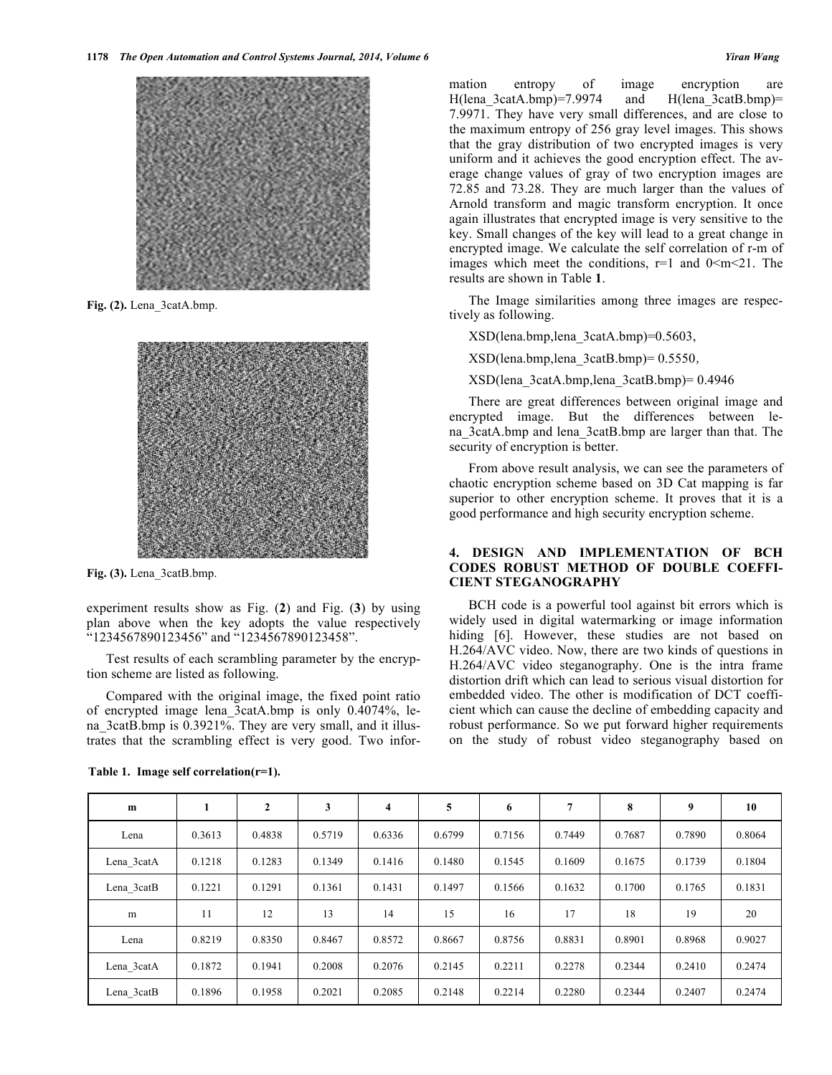

**Fig. (2).** Lena\_3catA.bmp.



**Fig. (3).** Lena\_3catB.bmp.

experiment results show as Fig. (**2**) and Fig. (**3**) by using plan above when the key adopts the value respectively "1234567890123456" and "1234567890123458".

Test results of each scrambling parameter by the encryption scheme are listed as following.

Compared with the original image, the fixed point ratio of encrypted image lena\_3catA.bmp is only 0.4074%, lena 3catB.bmp is 0.3921%. They are very small, and it illustrates that the scrambling effect is very good. Two infor-

| m          |        | $\mathbf{2}$ | 3      | $\overline{\mathbf{4}}$ | 5      | 6      | 7      | 8      | 9      | 10     |
|------------|--------|--------------|--------|-------------------------|--------|--------|--------|--------|--------|--------|
| Lena       | 0.3613 | 0.4838       | 0.5719 | 0.6336                  | 0.6799 | 0.7156 | 0.7449 | 0.7687 | 0.7890 | 0.8064 |
| Lena 3catA | 0.1218 | 0.1283       | 0.1349 | 0.1416                  | 0.1480 | 0.1545 | 0.1609 | 0.1675 | 0.1739 | 0.1804 |
| Lena 3catB | 0.1221 | 0.1291       | 0.1361 | 0.1431                  | 0.1497 | 0.1566 | 0.1632 | 0.1700 | 0.1765 | 0.1831 |
| m          | 11     | 12           | 13     | 14                      | 15     | 16     | 17     | 18     | 19     | 20     |
| Lena       | 0.8219 | 0.8350       | 0.8467 | 0.8572                  | 0.8667 | 0.8756 | 0.8831 | 0.8901 | 0.8968 | 0.9027 |
| Lena 3catA | 0.1872 | 0.1941       | 0.2008 | 0.2076                  | 0.2145 | 0.2211 | 0.2278 | 0.2344 | 0.2410 | 0.2474 |
| Lena 3catB | 0.1896 | 0.1958       | 0.2021 | 0.2085                  | 0.2148 | 0.2214 | 0.2280 | 0.2344 | 0.2407 | 0.2474 |

**Table 1. Image self correlation(r=1).**

mation entropy of image encryption are H(lena\_3catA.bmp)=7.9974 and H(lena\_3catB.bmp)= 7.9971. They have very small differences, and are close to the maximum entropy of 256 gray level images. This shows that the gray distribution of two encrypted images is very uniform and it achieves the good encryption effect. The average change values of gray of two encryption images are 72.85 and 73.28. They are much larger than the values of Arnold transform and magic transform encryption. It once again illustrates that encrypted image is very sensitive to the key. Small changes of the key will lead to a great change in encrypted image. We calculate the self correlation of r-m of images which meet the conditions,  $r=1$  and  $0 \le m \le 21$ . The results are shown in Table **1**.

The Image similarities among three images are respectively as following.

XSD(lena.bmp,lena\_3catA.bmp)=0.5603,

XSD(lena.bmp,lena\_3catB.bmp)= 0.5550,

XSD(lena\_3catA.bmp,lena\_3catB.bmp)= 0.4946

There are great differences between original image and encrypted image. But the differences between lena\_3catA.bmp and lena\_3catB.bmp are larger than that. The security of encryption is better.

From above result analysis, we can see the parameters of chaotic encryption scheme based on 3D Cat mapping is far superior to other encryption scheme. It proves that it is a good performance and high security encryption scheme.

# **4. DESIGN AND IMPLEMENTATION OF BCH CODES ROBUST METHOD OF DOUBLE COEFFI-CIENT STEGANOGRAPHY**

BCH code is a powerful tool against bit errors which is widely used in digital watermarking or image information hiding [6]. However, these studies are not based on H.264/AVC video. Now, there are two kinds of questions in H.264/AVC video steganography. One is the intra frame distortion drift which can lead to serious visual distortion for embedded video. The other is modification of DCT coefficient which can cause the decline of embedding capacity and robust performance. So we put forward higher requirements on the study of robust video steganography based on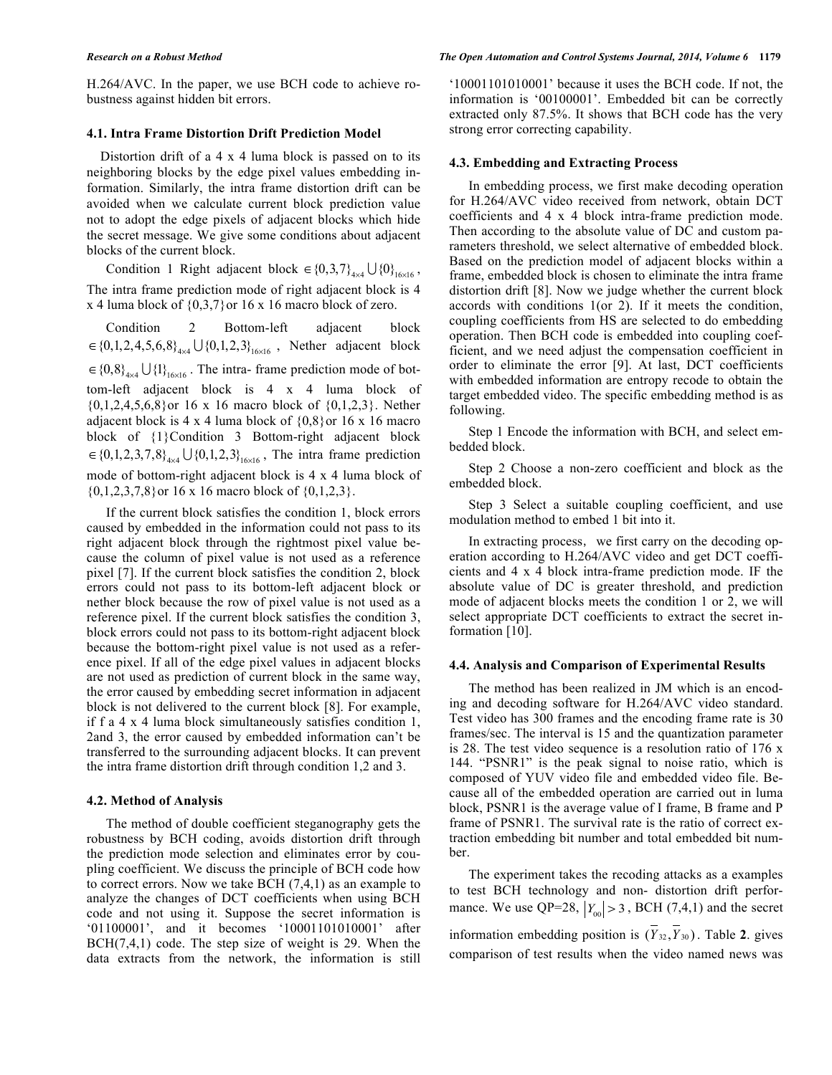H.264/AVC. In the paper, we use BCH code to achieve robustness against hidden bit errors.

# **4.1. Intra Frame Distortion Drift Prediction Model**

Distortion drift of a 4 x 4 luma block is passed on to its neighboring blocks by the edge pixel values embedding information. Similarly, the intra frame distortion drift can be avoided when we calculate current block prediction value not to adopt the edge pixels of adjacent blocks which hide the secret message. We give some conditions about adjacent blocks of the current block.

Condition 1 Right adjacent block  $\in \{0,3,7\}_{4\times 4} \cup \{0\}_{16\times 16}$ , The intra frame prediction mode of right adjacent block is 4 x 4 luma block of  $\{0,3,7\}$  or 16 x 16 macro block of zero.

Condition 2 Bottom-left adjacent block  $\in \{0,1,2,4,5,6,8\}_{4\times 4} \cup \{0,1,2,3\}_{16\times 16}$ , Nether adjacent block  $\in \{0,8\}_{4\times 4} \cup \{1\}_{16\times 16}$ . The intra-frame prediction mode of bottom-left adjacent block is 4 x 4 luma block of  $\{0,1,2,4,5,6,8\}$  or 16 x 16 macro block of  $\{0,1,2,3\}$ . Nether adjacent block is 4 x 4 luma block of  $\{0,8\}$  or 16 x 16 macro block of  $\{1\}$ Condition 3 Bottom-right adjacent block  $\in \{0,1,2,3,7,8\}_{4\times4} \cup \{0,1,2,3\}_{16\times16}$ , The intra frame prediction mode of bottom-right adjacent block is 4 x 4 luma block of  $\{0,1,2,3,7,8\}$  or 16 x 16 macro block of  $\{0,1,2,3\}$ .

If the current block satisfies the condition 1, block errors caused by embedded in the information could not pass to its right adjacent block through the rightmost pixel value because the column of pixel value is not used as a reference pixel [7]. If the current block satisfies the condition 2, block errors could not pass to its bottom-left adjacent block or nether block because the row of pixel value is not used as a reference pixel. If the current block satisfies the condition 3, block errors could not pass to its bottom-right adjacent block because the bottom-right pixel value is not used as a reference pixel. If all of the edge pixel values in adjacent blocks are not used as prediction of current block in the same way, the error caused by embedding secret information in adjacent block is not delivered to the current block [8]. For example, if f a 4 x 4 luma block simultaneously satisfies condition 1, 2and 3, the error caused by embedded information can't be transferred to the surrounding adjacent blocks. It can prevent the intra frame distortion drift through condition 1,2 and 3.

#### **4.2. Method of Analysis**

The method of double coefficient steganography gets the robustness by BCH coding, avoids distortion drift through the prediction mode selection and eliminates error by coupling coefficient. We discuss the principle of BCH code how to correct errors. Now we take BCH (7,4,1) as an example to analyze the changes of DCT coefficients when using BCH code and not using it. Suppose the secret information is '01100001', and it becomes '10001101010001' after  $BCH(7,4,1)$  code. The step size of weight is 29. When the data extracts from the network, the information is still

#### *Research on a Robust Method The Open Automation and Control Systems Journal, 2014, Volume 6* **1179**

'10001101010001' because it uses the BCH code. If not, the information is '00100001'. Embedded bit can be correctly extracted only 87.5%. It shows that BCH code has the very strong error correcting capability.

#### **4.3. Embedding and Extracting Process**

In embedding process, we first make decoding operation for H.264/AVC video received from network, obtain DCT coefficients and 4 x 4 block intra-frame prediction mode. Then according to the absolute value of DC and custom parameters threshold, we select alternative of embedded block. Based on the prediction model of adjacent blocks within a frame, embedded block is chosen to eliminate the intra frame distortion drift [8]. Now we judge whether the current block accords with conditions 1(or 2). If it meets the condition, coupling coefficients from HS are selected to do embedding operation. Then BCH code is embedded into coupling coefficient, and we need adjust the compensation coefficient in order to eliminate the error [9]. At last, DCT coefficients with embedded information are entropy recode to obtain the target embedded video. The specific embedding method is as following.

Step 1 Encode the information with BCH, and select embedded block.

Step 2 Choose a non-zero coefficient and block as the embedded block.

Step 3 Select a suitable coupling coefficient, and use modulation method to embed 1 bit into it.

In extracting process, we first carry on the decoding operation according to H.264/AVC video and get DCT coefficients and 4 x 4 block intra-frame prediction mode. IF the absolute value of DC is greater threshold, and prediction mode of adjacent blocks meets the condition 1 or 2, we will select appropriate DCT coefficients to extract the secret information [10].

#### **4.4. Analysis and Comparison of Experimental Results**

The method has been realized in JM which is an encoding and decoding software for H.264/AVC video standard. Test video has 300 frames and the encoding frame rate is 30 frames/sec. The interval is 15 and the quantization parameter is 28. The test video sequence is a resolution ratio of 176 x 144. "PSNR1" is the peak signal to noise ratio, which is composed of YUV video file and embedded video file. Because all of the embedded operation are carried out in luma block, PSNR1 is the average value of I frame, B frame and P frame of PSNR1. The survival rate is the ratio of correct extraction embedding bit number and total embedded bit number.

The experiment takes the recoding attacks as a examples to test BCH technology and non- distortion drift performance. We use QP=28,  $|Y_{00}| > 3$ , BCH (7,4,1) and the secret information embedding position is  $(\overline{Y}_{32}, \overline{Y}_{30})$ . Table 2. gives comparison of test results when the video named news was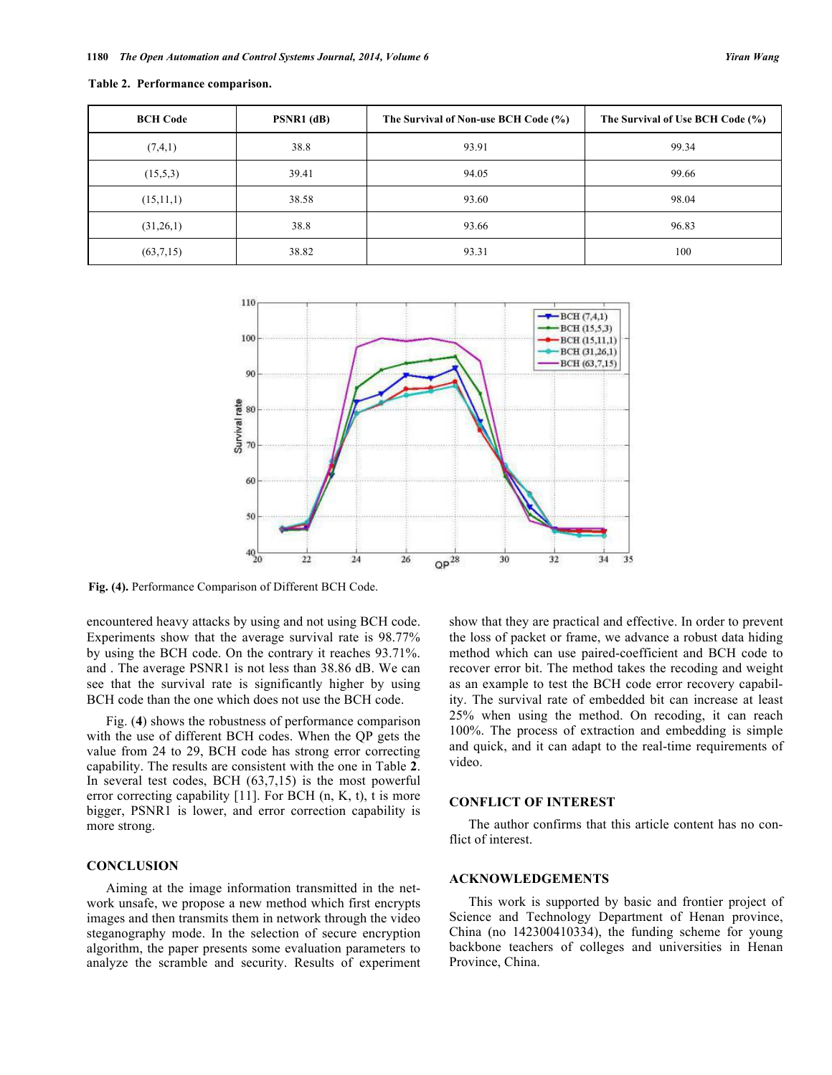| <b>BCH Code</b> | PSNR1 (dB) | The Survival of Non-use BCH Code (%) | The Survival of Use BCH Code (%) |
|-----------------|------------|--------------------------------------|----------------------------------|
| (7,4,1)         | 38.8       | 93.91                                | 99.34                            |
| (15,5,3)        | 39.41      | 94.05                                | 99.66                            |
| (15,11,1)       | 38.58      | 93.60                                | 98.04                            |
| (31,26,1)       | 38.8       | 93.66                                | 96.83                            |
| (63,7,15)       | 38.82      | 93.31                                | 100                              |

**Table 2. Performance comparison.**



**Fig. (4).** Performance Comparison of Different BCH Code.

encountered heavy attacks by using and not using BCH code. Experiments show that the average survival rate is 98.77% by using the BCH code. On the contrary it reaches 93.71%. and . The average PSNR1 is not less than 38.86 dB. We can see that the survival rate is significantly higher by using BCH code than the one which does not use the BCH code.

Fig. (**4**) shows the robustness of performance comparison with the use of different BCH codes. When the QP gets the value from 24 to 29, BCH code has strong error correcting capability. The results are consistent with the one in Table **2**. In several test codes, BCH (63,7,15) is the most powerful error correcting capability [11]. For BCH (n, K, t), t is more bigger, PSNR1 is lower, and error correction capability is more strong.

# **CONCLUSION**

Aiming at the image information transmitted in the network unsafe, we propose a new method which first encrypts images and then transmits them in network through the video steganography mode. In the selection of secure encryption algorithm, the paper presents some evaluation parameters to analyze the scramble and security. Results of experiment show that they are practical and effective. In order to prevent the loss of packet or frame, we advance a robust data hiding method which can use paired-coefficient and BCH code to recover error bit. The method takes the recoding and weight as an example to test the BCH code error recovery capability. The survival rate of embedded bit can increase at least 25% when using the method. On recoding, it can reach 100%. The process of extraction and embedding is simple and quick, and it can adapt to the real-time requirements of video.

#### **CONFLICT OF INTEREST**

The author confirms that this article content has no conflict of interest.

# **ACKNOWLEDGEMENTS**

This work is supported by basic and frontier project of Science and Technology Department of Henan province, China (no 142300410334), the funding scheme for young backbone teachers of colleges and universities in Henan Province, China.